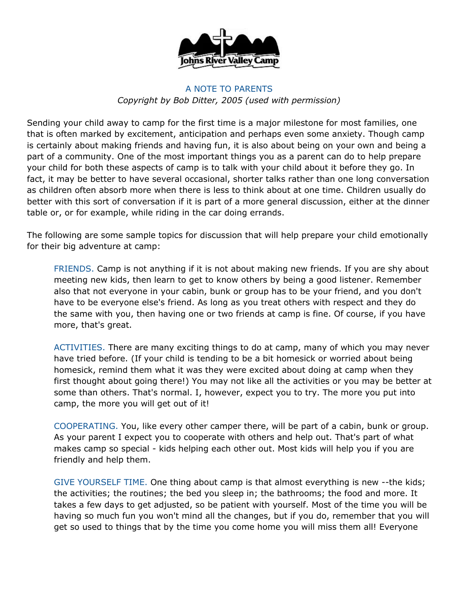

## A NOTE TO PARENTS *Copyright by Bob Ditter, 2005 (used with permission)*

Sending your child away to camp for the first time is a major milestone for most families, one that is often marked by excitement, anticipation and perhaps even some anxiety. Though camp is certainly about making friends and having fun, it is also about being on your own and being a part of a community. One of the most important things you as a parent can do to help prepare your child for both these aspects of camp is to talk with your child about it before they go. In fact, it may be better to have several occasional, shorter talks rather than one long conversation as children often absorb more when there is less to think about at one time. Children usually do better with this sort of conversation if it is part of a more general discussion, either at the dinner table or, or for example, while riding in the car doing errands.

The following are some sample topics for discussion that will help prepare your child emotionally for their big adventure at camp:

FRIENDS. Camp is not anything if it is not about making new friends. If you are shy about meeting new kids, then learn to get to know others by being a good listener. Remember also that not everyone in your cabin, bunk or group has to be your friend, and you don't have to be everyone else's friend. As long as you treat others with respect and they do the same with you, then having one or two friends at camp is fine. Of course, if you have more, that's great.

ACTIVITIES. There are many exciting things to do at camp, many of which you may never have tried before. (If your child is tending to be a bit homesick or worried about being homesick, remind them what it was they were excited about doing at camp when they first thought about going there!) You may not like all the activities or you may be better at some than others. That's normal. I, however, expect you to try. The more you put into camp, the more you will get out of it!

COOPERATING. You, like every other camper there, will be part of a cabin, bunk or group. As your parent I expect you to cooperate with others and help out. That's part of what makes camp so special - kids helping each other out. Most kids will help you if you are friendly and help them.

GIVE YOURSELF TIME. One thing about camp is that almost everything is new --the kids; the activities; the routines; the bed you sleep in; the bathrooms; the food and more. It takes a few days to get adjusted, so be patient with yourself. Most of the time you will be having so much fun you won't mind all the changes, but if you do, remember that you will get so used to things that by the time you come home you will miss them all! Everyone